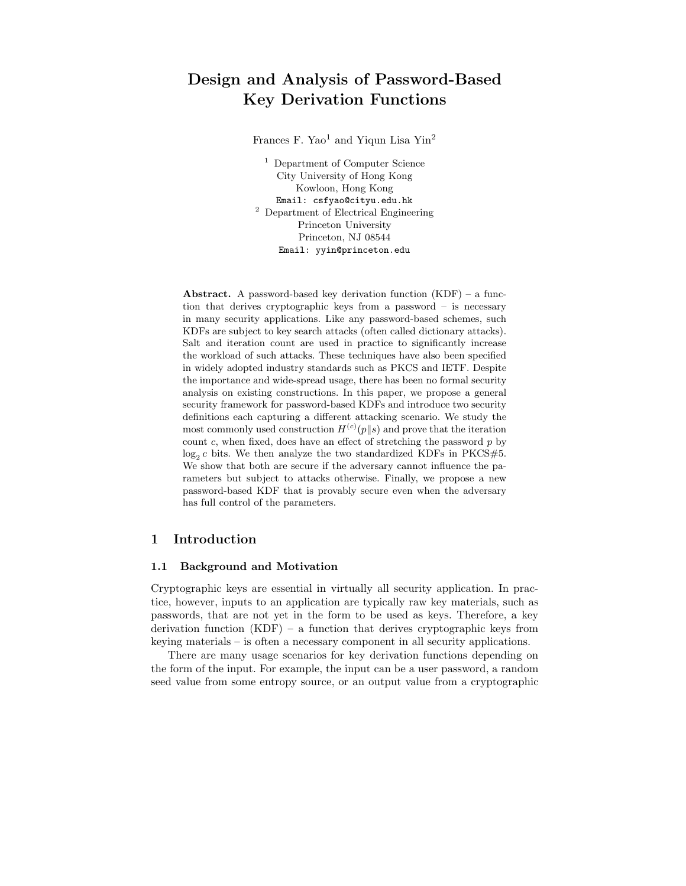# **Design and Analysis of Password-Based Key Derivation Functions**

Frances F. Yao<sup>1</sup> and Yiqun Lisa Yin<sup>2</sup>

<sup>1</sup> Department of Computer Science City University of Hong Kong Kowloon, Hong Kong Email: csfyao@cityu.edu.hk <sup>2</sup> Department of Electrical Engineering Princeton University Princeton, NJ 08544 Email: yyin@princeton.edu

**Abstract.** A password-based key derivation function (KDF) – a function that derives cryptographic keys from a password – is necessary in many security applications. Like any password-based schemes, such KDFs are subject to key search attacks (often called dictionary attacks). Salt and iteration count are used in practice to significantly increase the workload of such attacks. These techniques have also been specified in widely adopted industry standards such as PKCS and IETF. Despite the importance and wide-spread usage, there has been no formal security analysis on existing constructions. In this paper, we propose a general security framework for password-based KDFs and introduce two security definitions each capturing a different attacking scenario. We study the most commonly used construction  $H^{(c)}(p||s)$  and prove that the iteration count *c*, when fixed, does have an effect of stretching the password *p* by  $\log_2 c$  bits. We then analyze the two standardized KDFs in PKCS#5. We show that both are secure if the adversary cannot influence the parameters but subject to attacks otherwise. Finally, we propose a new password-based KDF that is provably secure even when the adversary has full control of the parameters.

### **1 Introduction**

#### **1.1 Background and Motivation**

Cryptographic keys are essential in virtually all security application. In practice, however, inputs to an application are typically raw key materials, such as passwords, that are not yet in the form to be used as keys. Therefore, a key derivation function  $(KDF)$  – a function that derives cryptographic keys from keying materials – is often a necessary component in all security applications.

There are many usage scenarios for key derivation functions depending on the form of the input. For example, the input can be a user password, a random seed value from some entropy source, or an output value from a cryptographic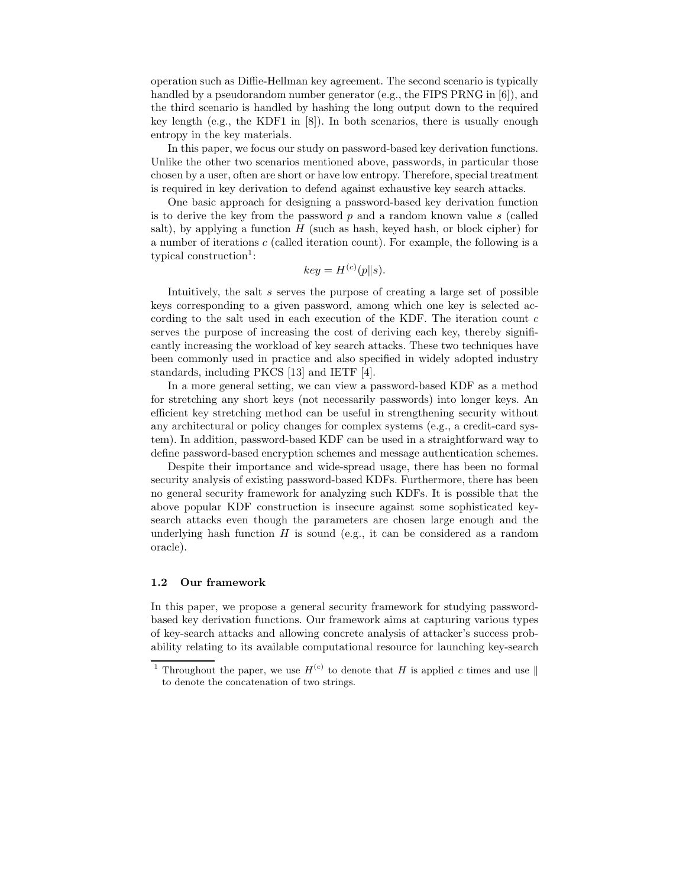operation such as Diffie-Hellman key agreement. The second scenario is typically handled by a pseudorandom number generator (e.g., the FIPS PRNG in [6]), and the third scenario is handled by hashing the long output down to the required key length (e.g., the KDF1 in [8]). In both scenarios, there is usually enough entropy in the key materials.

In this paper, we focus our study on password-based key derivation functions. Unlike the other two scenarios mentioned above, passwords, in particular those chosen by a user, often are short or have low entropy. Therefore, special treatment is required in key derivation to defend against exhaustive key search attacks.

One basic approach for designing a password-based key derivation function is to derive the key from the password  $p$  and a random known value  $s$  (called salt), by applying a function  $H$  (such as hash, keyed hash, or block cipher) for a number of iterations  $c$  (called iteration count). For example, the following is a typical construction<sup>1</sup>:

$$
key = H^{(c)}(p||s).
$$

Intuitively, the salt s serves the purpose of creating a large set of possible keys corresponding to a given password, among which one key is selected according to the salt used in each execution of the KDF. The iteration count  $c$ serves the purpose of increasing the cost of deriving each key, thereby significantly increasing the workload of key search attacks. These two techniques have been commonly used in practice and also specified in widely adopted industry standards, including PKCS [13] and IETF [4].

In a more general setting, we can view a password-based KDF as a method for stretching any short keys (not necessarily passwords) into longer keys. An efficient key stretching method can be useful in strengthening security without any architectural or policy changes for complex systems (e.g., a credit-card system). In addition, password-based KDF can be used in a straightforward way to define password-based encryption schemes and message authentication schemes.

Despite their importance and wide-spread usage, there has been no formal security analysis of existing password-based KDFs. Furthermore, there has been no general security framework for analyzing such KDFs. It is possible that the above popular KDF construction is insecure against some sophisticated keysearch attacks even though the parameters are chosen large enough and the underlying hash function  $H$  is sound (e.g., it can be considered as a random oracle).

#### **1.2 Our framework**

In this paper, we propose a general security framework for studying passwordbased key derivation functions. Our framework aims at capturing various types of key-search attacks and allowing concrete analysis of attacker's success probability relating to its available computational resource for launching key-search

<sup>&</sup>lt;sup>1</sup> Throughout the paper, we use  $H^{(c)}$  to denote that *H* is applied *c* times and use  $\parallel$ to denote the concatenation of two strings.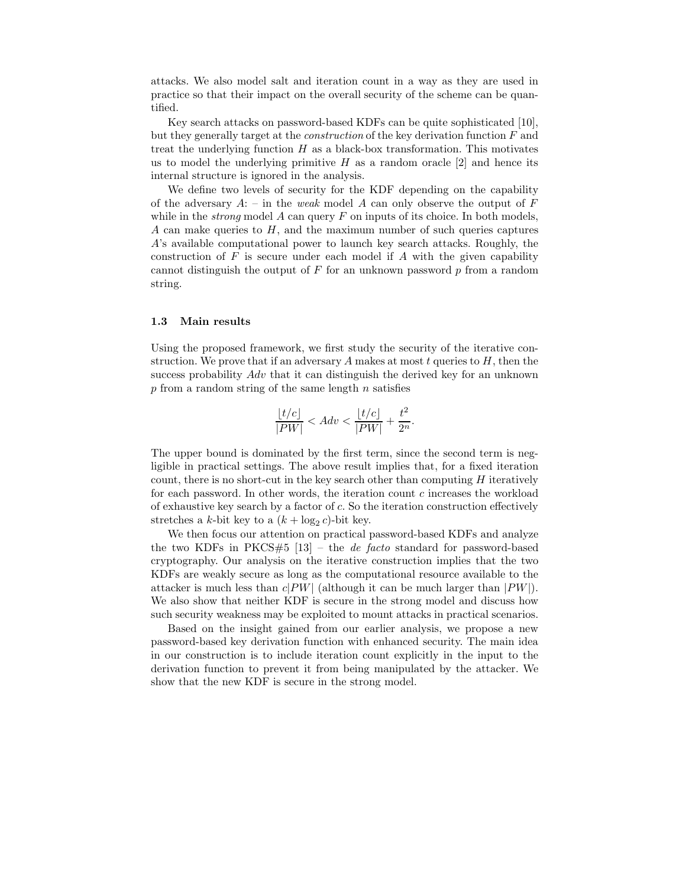attacks. We also model salt and iteration count in a way as they are used in practice so that their impact on the overall security of the scheme can be quantified.

Key search attacks on password-based KDFs can be quite sophisticated [10], but they generally target at the *construction* of the key derivation function F and treat the underlying function  $H$  as a black-box transformation. This motivates us to model the underlying primitive  $H$  as a random oracle  $[2]$  and hence its internal structure is ignored in the analysis.

We define two levels of security for the KDF depending on the capability of the adversary A: – in the *weak* model A can only observe the output of F while in the *strong* model  $A$  can query  $F$  on inputs of its choice. In both models, A can make queries to  $H$ , and the maximum number of such queries captures A's available computational power to launch key search attacks. Roughly, the construction of  $F$  is secure under each model if  $A$  with the given capability cannot distinguish the output of  $F$  for an unknown password  $p$  from a random string.

#### **1.3 Main results**

Using the proposed framework, we first study the security of the iterative construction. We prove that if an adversary  $A$  makes at most  $t$  queries to  $H$ , then the success probability  $Adv$  that it can distinguish the derived key for an unknown  $p$  from a random string of the same length  $n$  satisfies

$$
\frac{\lfloor t/c\rfloor}{|PW|}
$$

The upper bound is dominated by the first term, since the second term is negligible in practical settings. The above result implies that, for a fixed iteration count, there is no short-cut in the key search other than computing  $H$  iteratively for each password. In other words, the iteration count  $c$  increases the workload of exhaustive key search by a factor of c. So the iteration construction effectively stretches a k-bit key to a  $(k + \log_2 c)$ -bit key.

We then focus our attention on practical password-based KDFs and analyze the two KDFs in PKCS#5 [13] – the *de facto* standard for password-based cryptography. Our analysis on the iterative construction implies that the two KDFs are weakly secure as long as the computational resource available to the attacker is much less than  $c|PW|$  (although it can be much larger than  $|PW|$ ). We also show that neither KDF is secure in the strong model and discuss how such security weakness may be exploited to mount attacks in practical scenarios.

Based on the insight gained from our earlier analysis, we propose a new password-based key derivation function with enhanced security. The main idea in our construction is to include iteration count explicitly in the input to the derivation function to prevent it from being manipulated by the attacker. We show that the new KDF is secure in the strong model.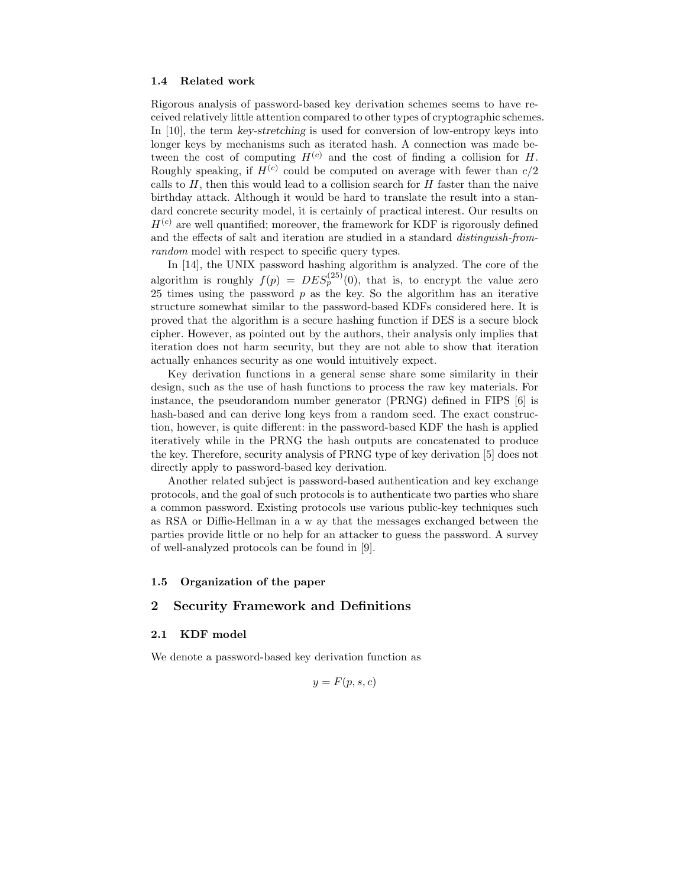#### **1.4 Related work**

Rigorous analysis of password-based key derivation schemes seems to have received relatively little attention compared to other types of cryptographic schemes. In [10], the term *key-stretching* is used for conversion of low-entropy keys into longer keys by mechanisms such as iterated hash. A connection was made between the cost of computing  $H^{(c)}$  and the cost of finding a collision for H. Roughly speaking, if  $H^{(c)}$  could be computed on average with fewer than  $c/2$ calls to  $H$ , then this would lead to a collision search for  $H$  faster than the naive birthday attack. Although it would be hard to translate the result into a standard concrete security model, it is certainly of practical interest. Our results on  $H^{(c)}$  are well quantified; moreover, the framework for KDF is rigorously defined and the effects of salt and iteration are studied in a standard *distinguish-fromrandom* model with respect to specific query types.

In [14], the UNIX password hashing algorithm is analyzed. The core of the algorithm is roughly  $f(p) = DES_p^{(25)}(0)$ , that is, to encrypt the value zero 25 times using the password  $p$  as the key. So the algorithm has an iterative structure somewhat similar to the password-based KDFs considered here. It is proved that the algorithm is a secure hashing function if DES is a secure block cipher. However, as pointed out by the authors, their analysis only implies that iteration does not harm security, but they are not able to show that iteration actually enhances security as one would intuitively expect.

Key derivation functions in a general sense share some similarity in their design, such as the use of hash functions to process the raw key materials. For instance, the pseudorandom number generator (PRNG) defined in FIPS [6] is hash-based and can derive long keys from a random seed. The exact construction, however, is quite different: in the password-based KDF the hash is applied iteratively while in the PRNG the hash outputs are concatenated to produce the key. Therefore, security analysis of PRNG type of key derivation [5] does not directly apply to password-based key derivation.

Another related subject is password-based authentication and key exchange protocols, and the goal of such protocols is to authenticate two parties who share a common password. Existing protocols use various public-key techniques such as RSA or Diffie-Hellman in a w ay that the messages exchanged between the parties provide little or no help for an attacker to guess the password. A survey of well-analyzed protocols can be found in [9].

#### **1.5 Organization of the paper**

### **2 Security Framework and Definitions**

#### **2.1 KDF model**

We denote a password-based key derivation function as

$$
y = F(p, s, c)
$$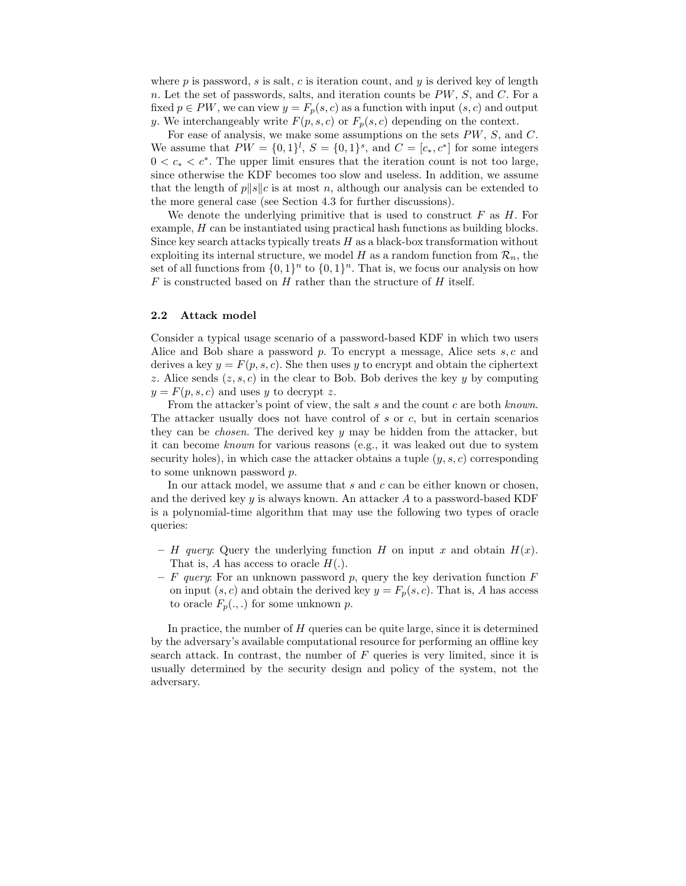where p is password, s is salt, c is iteration count, and  $y$  is derived key of length  $n.$  Let the set of passwords, salts, and iteration counts be  $PW, S$ , and  $C.$  For a fixed  $p \in PW$ , we can view  $y = F_p(s, c)$  as a function with input  $(s, c)$  and output y. We interchangeably write  $F(p, s, c)$  or  $F_p(s, c)$  depending on the context.

For ease of analysis, we make some assumptions on the sets PW, S, and C. We assume that  $PW = \{0, 1\}^l$ ,  $S = \{0, 1\}^s$ , and  $C = [c_*, c^*]$  for some integers  $0 < c_* < c^*$ . The upper limit ensures that the iteration count is not too large, since otherwise the KDF becomes too slow and useless. In addition, we assume that the length of  $p||s||c$  is at most n, although our analysis can be extended to the more general case (see Section 4.3 for further discussions).

We denote the underlying primitive that is used to construct  $F$  as  $H$ . For example, H can be instantiated using practical hash functions as building blocks. Since key search attacks typically treats  $H$  as a black-box transformation without exploiting its internal structure, we model H as a random function from  $\mathcal{R}_n$ , the set of all functions from  $\{0,1\}^n$  to  $\{0,1\}^n$ . That is, we focus our analysis on how  $F$  is constructed based on  $H$  rather than the structure of  $H$  itself.

#### **2.2 Attack model**

Consider a typical usage scenario of a password-based KDF in which two users Alice and Bob share a password  $p$ . To encrypt a message, Alice sets  $s, c$  and derives a key  $y = F(p, s, c)$ . She then uses y to encrypt and obtain the ciphertext z. Alice sends  $(z, s, c)$  in the clear to Bob. Bob derives the key y by computing  $y = F(p, s, c)$  and uses y to decrypt z.

From the attacker's point of view, the salt s and the count c are both *known*. The attacker usually does not have control of  $s$  or  $c$ , but in certain scenarios they can be *chosen*. The derived key y may be hidden from the attacker, but it can become *known* for various reasons (e.g., it was leaked out due to system security holes), in which case the attacker obtains a tuple  $(y, s, c)$  corresponding to some unknown password p.

In our attack model, we assume that  $s$  and  $c$  can be either known or chosen, and the derived key  $y$  is always known. An attacker A to a password-based KDF is a polynomial-time algorithm that may use the following two types of oracle queries:

- $-$  H *query*: Query the underlying function H on input x and obtain  $H(x)$ . That is, A has access to oracle  $H(.)$ .
- **–** F *query*: For an unknown password p, query the key derivation function F on input  $(s, c)$  and obtain the derived key  $y = F_p(s, c)$ . That is, A has access to oracle  $F_p(.,.)$  for some unknown p.

In practice, the number of  $H$  queries can be quite large, since it is determined by the adversary's available computational resource for performing an offline key search attack. In contrast, the number of  $F$  queries is very limited, since it is usually determined by the security design and policy of the system, not the adversary.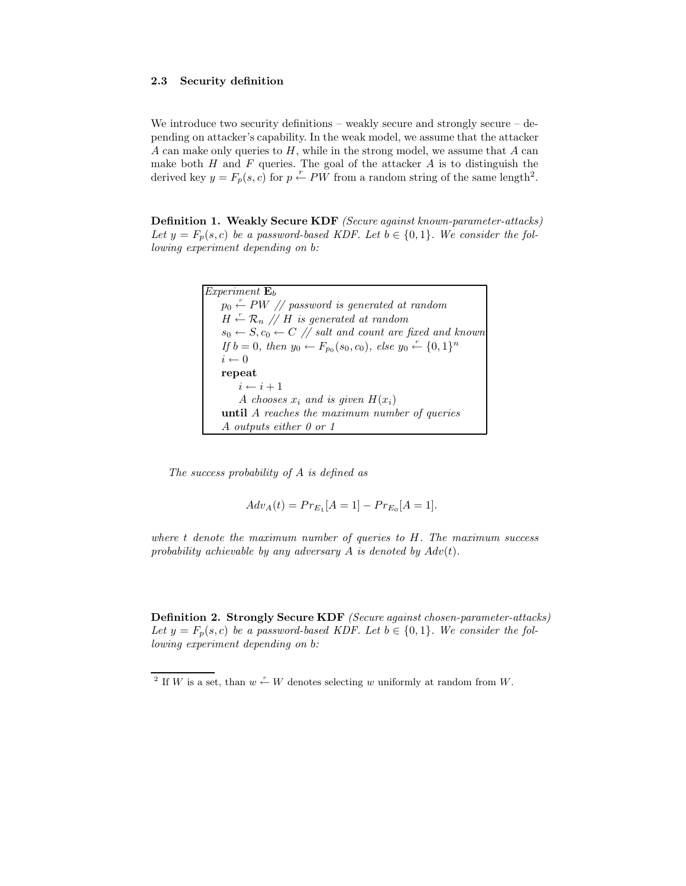#### **2.3 Security definition**

We introduce two security definitions – weakly secure and strongly secure – depending on attacker's capability. In the weak model, we assume that the attacker A can make only queries to  $H$ , while in the strong model, we assume that A can make both  $H$  and  $F$  queries. The goal of the attacker  $A$  is to distinguish the derived key  $y = F_p(s, c)$  for  $p \stackrel{r}{\leftarrow} PW$  from a random string of the same length<sup>2</sup>.

**Definition 1. Weakly Secure KDF** *(Secure against known-parameter-attacks)* Let  $y = F_p(s, c)$  *be a password-based KDF. Let*  $b \in \{0, 1\}$ *. We consider the following experiment depending on* b*:*

```
Experiment Eb
     p_0 \overset{r}{\leftarrow} PW // password is generated at random
     H \stackrel{r}{\leftarrow} \mathcal{R}_n // H is generated at random
   s_0 \leftarrow S, c_0 \leftarrow C \quad \text{is all and count are fixed and known}If b = 0, then y_0 \leftarrow F_{p_0}(s_0, c_0), else y_0 \leftarrow \{0, 1\}^ni \leftarrow 0repeat
        i \leftarrow i + 1A chooses x_i and is given H(x_i)until A reaches the maximum number of queries
    A outputs either 0 or 1
```
*The success probability of* A *is defined as*

$$
Adv_A(t) = Pr_{E_1}[A = 1] - Pr_{E_0}[A = 1].
$$

*where* t *denote the maximum number of queries to* H*. The maximum success probability achievable by any adversary* A *is denoted by* Adv(t)*.*

**Definition 2. Strongly Secure KDF** *(Secure against chosen-parameter-attacks)* Let  $y = F_p(s, c)$  be a password-based KDF. Let  $b \in \{0, 1\}$ . We consider the fol*lowing experiment depending on* b*:*

<sup>&</sup>lt;sup>2</sup> If *W* is a set, than  $w \stackrel{r}{\leftarrow} W$  denotes selecting *w* uniformly at random from *W*.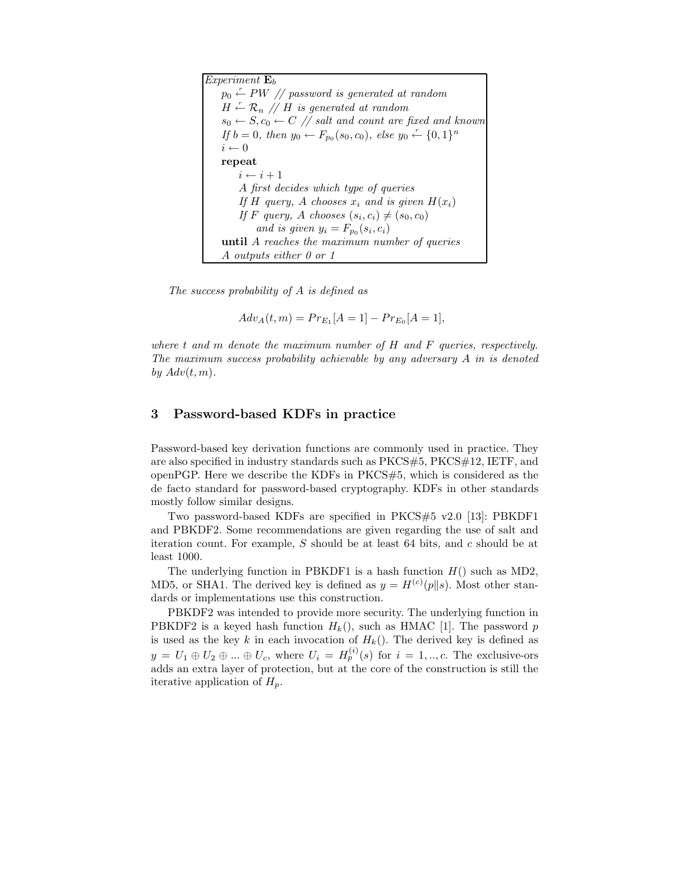| Experiment E <sub>b</sub>                                                               |
|-----------------------------------------------------------------------------------------|
| $p_0 \stackrel{r}{\leftarrow} PW$ // password is generated at random                    |
| $H \stackrel{r}{\leftarrow} \mathcal{R}_n$ // H is generated at random                  |
| $s_0 \leftarrow S, c_0 \leftarrow C \text{ // salt and count are fixed and known}$      |
| If $b = 0$ , then $y_0 \leftarrow F_{p_0}(s_0, c_0)$ , else $y_0 \leftarrow \{0, 1\}^n$ |
| $i \leftarrow 0$                                                                        |
| repeat                                                                                  |
| $i \leftarrow i + 1$                                                                    |
| A first decides which type of queries                                                   |
| If H query, A chooses $x_i$ and is given $H(x_i)$                                       |
| If F query, A chooses $(s_i, c_i) \neq (s_0, c_0)$                                      |
| and is given $y_i = F_{p_0}(s_i, c_i)$                                                  |
| <b>until</b> A reaches the maximum number of queries                                    |
| A outputs either 0 or 1                                                                 |

*The success probability of* A *is defined as*

$$
Adv_A(t, m) = Pr_{E_1}[A = 1] - Pr_{E_0}[A = 1],
$$

*where* t *and* m *denote the maximum number of* H *and* F *queries, respectively. The maximum success probability achievable by any adversary* A *in is denoted* by  $Adv(t, m)$ .

### **3 Password-based KDFs in practice**

Password-based key derivation functions are commonly used in practice. They are also specified in industry standards such as PKCS#5, PKCS#12, IETF, and openPGP. Here we describe the KDFs in PKCS#5, which is considered as the de facto standard for password-based cryptography. KDFs in other standards mostly follow similar designs.

Two password-based KDFs are specified in PKCS#5 v2.0 [13]: PBKDF1 and PBKDF2. Some recommendations are given regarding the use of salt and iteration count. For example, S should be at least 64 bits, and c should be at least 1000.

The underlying function in PBKDF1 is a hash function  $H()$  such as MD2, MD5, or SHA1. The derived key is defined as  $y = H^{(c)}(p||s)$ . Most other standards or implementations use this construction.

PBKDF2 was intended to provide more security. The underlying function in PBKDF2 is a keyed hash function  $H_k()$ , such as HMAC [1]. The password p is used as the key k in each invocation of  $H_k()$ . The derived key is defined as  $y = U_1 \oplus U_2 \oplus ... \oplus U_c$ , where  $U_i = H_p^{(i)}(s)$  for  $i = 1, ..., c$ . The exclusive-ors adds an extra layer of protection, but at the core of the construction is still the iterative application of  $H_p$ .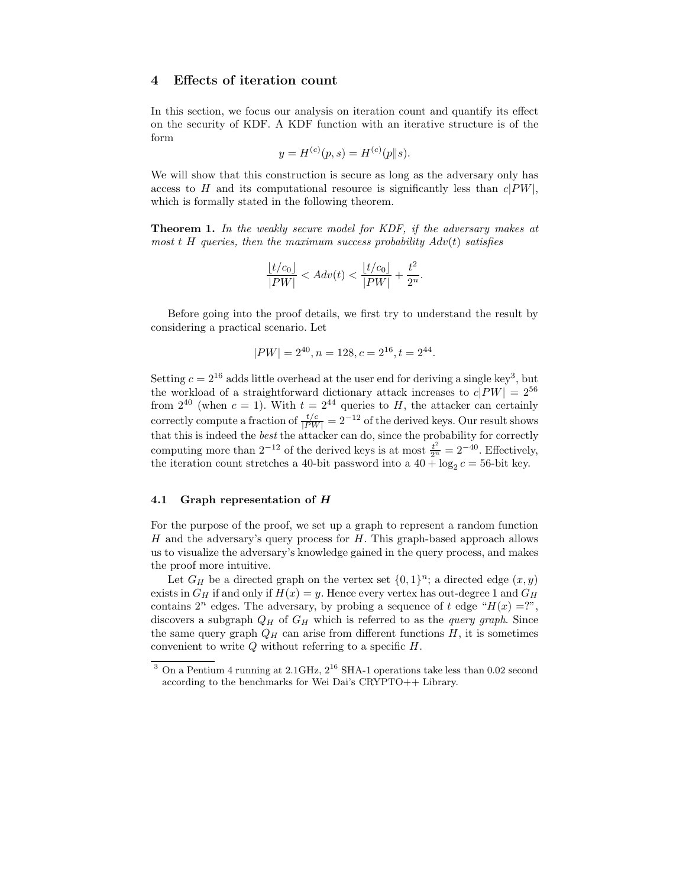## **4 Effects of iteration count**

In this section, we focus our analysis on iteration count and quantify its effect on the security of KDF. A KDF function with an iterative structure is of the form

$$
y = H^{(c)}(p, s) = H^{(c)}(p||s).
$$

We will show that this construction is secure as long as the adversary only has access to H and its computational resource is significantly less than  $c|PW|$ , which is formally stated in the following theorem.

**Theorem 1.** *In the weakly secure model for KDF, if the adversary makes at most* t H *queries, then the maximum success probability* Adv(t) *satisfies*

$$
\frac{\lfloor t/c_0 \rfloor}{|PW|} < Adv(t) < \frac{\lfloor t/c_0 \rfloor}{|PW|} + \frac{t^2}{2^n}.
$$

Before going into the proof details, we first try to understand the result by considering a practical scenario. Let

$$
|PW| = 2^{40}, n = 128, c = 2^{16}, t = 2^{44}.
$$

Setting  $c = 2^{16}$  adds little overhead at the user end for deriving a single key<sup>3</sup>, but the workload of a straightforward dictionary attack increases to  $c|PW| = 2^{56}$ from  $2^{40}$  (when  $c = 1$ ). With  $t = 2^{44}$  queries to H, the attacker can certainly correctly compute a fraction of  $\frac{t/c}{|PW|} = 2^{-12}$  of the derived keys. Our result shows that this is indeed the *best* the attacker can do, since the probability for correctly computing more than  $2^{-12}$  of the derived keys is at most  $\frac{t^2}{2^n} = 2^{-40}$ . Effectively, the iteration count stretches a 40-bit password into a  $40 + \log_2 c = 56$ -bit key.

#### **4.1 Graph representation of** *H*

For the purpose of the proof, we set up a graph to represent a random function  $H$  and the adversary's query process for  $H$ . This graph-based approach allows us to visualize the adversary's knowledge gained in the query process, and makes the proof more intuitive.

Let  $G_H$  be a directed graph on the vertex set  $\{0,1\}^n$ ; a directed edge  $(x, y)$ exists in  $G_H$  if and only if  $H(x) = y$ . Hence every vertex has out-degree 1 and  $G_H$ contains  $2^n$  edges. The adversary, by probing a sequence of t edge " $H(x) = ?$ ", discovers a subgraph  $Q_H$  of  $G_H$  which is referred to as the *query graph*. Since the same query graph  $Q_H$  can arise from different functions  $H$ , it is sometimes convenient to write  $Q$  without referring to a specific  $H$ .

 $3$  On a Pentium 4 running at 2.1GHz,  $2^{16}$  SHA-1 operations take less than 0.02 second according to the benchmarks for Wei Dai's CRYPTO++ Library.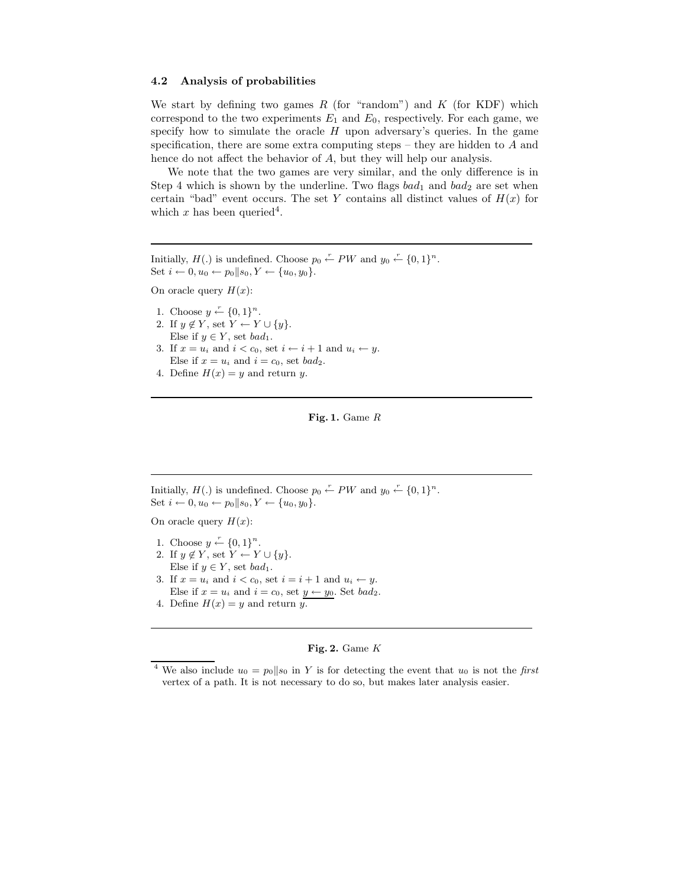#### **4.2 Analysis of probabilities**

We start by defining two games  $R$  (for "random") and  $K$  (for KDF) which correspond to the two experiments  $E_1$  and  $E_0$ , respectively. For each game, we specify how to simulate the oracle  $H$  upon adversary's queries. In the game specification, there are some extra computing steps – they are hidden to  $A$  and hence do not affect the behavior of A, but they will help our analysis.

We note that the two games are very similar, and the only difference is in Step 4 which is shown by the underline. Two flags  $bad_1$  and  $bad_2$  are set when certain "bad" event occurs. The set Y contains all distinct values of  $H(x)$  for which x has been queried<sup>4</sup>.

Initially,  $H(.)$  is undefined. Choose  $p_0 \stackrel{r}{\leftarrow} PW$  and  $y_0 \stackrel{r}{\leftarrow} \{0,1\}^n$ . Set  $i \leftarrow 0, u_0 \leftarrow p_0 || s_0, Y \leftarrow \{u_0, y_0\}.$ 

On oracle query  $H(x)$ :

- 1. Choose  $y \stackrel{r}{\leftarrow} \{0,1\}^n$ .
- 2. If  $y \notin Y$ , set  $Y \leftarrow Y \cup \{y\}$ .
- Else if  $y \in Y$ , set *bad*<sub>1</sub>.
- 3. If  $x = u_i$  and  $i < c_0$ , set  $i \leftarrow i + 1$  and  $u_i \leftarrow y$ . Else if  $x = u_i$  and  $i = c_0$ , set *bad*<sub>2</sub>.
- 4. Define  $H(x) = y$  and return *y*.

#### **Fig. 1.** Game *<sup>R</sup>*

Initially,  $H(.)$  is undefined. Choose  $p_0 \stackrel{r}{\leftarrow} PW$  and  $y_0 \stackrel{r}{\leftarrow} \{0,1\}^n$ . Set  $i \leftarrow 0, u_0 \leftarrow p_0 || s_0, Y \leftarrow \{u_0, y_0\}.$ 

On oracle query  $H(x)$ :

- 1. Choose  $y \stackrel{r}{\leftarrow} \{0,1\}^n$ .
- 2. If  $y \notin Y$ , set  $Y \leftarrow Y \cup \{y\}$ . Else if  $y \in Y$ , set *bad*<sub>1</sub>.
- 3. If  $x = u_i$  and  $i < c_0$ , set  $i = i + 1$  and  $u_i \leftarrow y$ . Else if  $x = u_i$  and  $i = c_0$ , set  $y \leftarrow y_0$ . Set *bad*<sub>2</sub>.
- 4. Define  $H(x) = y$  and return *y*.

#### **Fig. 2.** Game *<sup>K</sup>*

<sup>&</sup>lt;sup>4</sup> We also include  $u_0 = p_0 || s_0$  in *Y* is for detecting the event that  $u_0$  is not the *first* vertex of a path. It is not necessary to do so, but makes later analysis easier.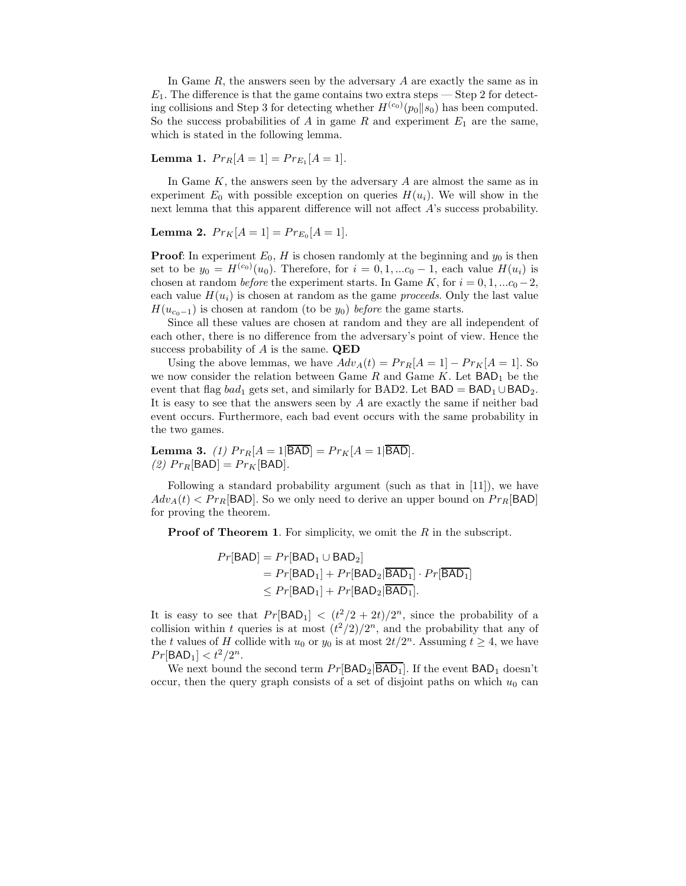In Game  $R$ , the answers seen by the adversary  $A$  are exactly the same as in  $E_1$ . The difference is that the game contains two extra steps — Step 2 for detecting collisions and Step 3 for detecting whether  $H^{(c_0)}(p_0||s_0)$  has been computed. So the success probabilities of  $A$  in game  $R$  and experiment  $E_1$  are the same, which is stated in the following lemma.

**Lemma 1.**  $Pr_R[A = 1] = Pr_{E_1}[A = 1]$ .

In Game  $K$ , the answers seen by the adversary  $A$  are almost the same as in experiment  $E_0$  with possible exception on queries  $H(u_i)$ . We will show in the next lemma that this apparent difference will not affect A's success probability.

**Lemma 2.** 
$$
Pr_K[A = 1] = Pr_{E_0}[A = 1]
$$
.

**Proof**: In experiment  $E_0$ , H is chosen randomly at the beginning and  $y_0$  is then set to be  $y_0 = H^{(c_0)}(u_0)$ . Therefore, for  $i = 0, 1, ...c_0 - 1$ , each value  $H(u_i)$  is chosen at random *before* the experiment starts. In Game K, for  $i = 0, 1, ...c_0 - 2$ , each value  $H(u_i)$  is chosen at random as the game *proceeds*. Only the last value  $H(u_{c_0-1})$  is chosen at random (to be  $y_0$ ) *before* the game starts.

Since all these values are chosen at random and they are all independent of each other, there is no difference from the adversary's point of view. Hence the success probability of A is the same. **QED**

Using the above lemmas, we have  $Adv_A(t) = Pr_R[A = 1] - Pr_K[A = 1]$ . So we now consider the relation between Game  $R$  and Game  $K$ . Let  $BAD<sub>1</sub>$  be the event that flag bad<sub>1</sub> gets set, and similarly for BAD2. Let  $BAD = BAD_1 \cup BAD_2$ . It is easy to see that the answers seen by A are exactly the same if neither bad event occurs. Furthermore, each bad event occurs with the same probability in the two games.

**Lemma 3.** *(1)*  $Pr_R[A = 1 | \overline{BAD}] = Pr_K[A = 1 | \overline{BAD}]$ *. (2)*  $Pr_R[\text{BAD}] = Pr_K[\text{BAD}].$ 

Following a standard probability argument (such as that in [11]), we have  $Adv_A(t) < Pr_R[\text{BAD}]$ . So we only need to derive an upper bound on  $Pr_R[\text{BAD}]$ for proving the theorem.

**Proof of Theorem 1.** For simplicity, we omit the R in the subscript.

$$
Pr[\mathsf{BAD}] = Pr[\mathsf{BAD}_1 \cup \mathsf{BAD}_2] = Pr[\mathsf{BAD}_1] + Pr[\mathsf{BAD}_2 | \overline{\mathsf{BAD}_1}] \cdot Pr[\mathsf{BAD}_1] \leq Pr[\mathsf{BAD}_1] + Pr[\mathsf{BAD}_2 | \overline{\mathsf{BAD}_1}].
$$

It is easy to see that  $Pr[**BAD**<sub>1</sub>] < (t^2/2 + 2t)/2^n$ , since the probability of a collision within t queries is at most  $(t^2/2)/2^n$ , and the probability that any of the t values of H collide with  $u_0$  or  $y_0$  is at most  $2t/2^n$ . Assuming  $t \geq 4$ , we have  $Pr[BAD_1] < t^2/2^n$ .

We next bound the second term  $Pr[BAD_2|\overline{BAD_1}]$ . If the event  $BAD_1$  doesn't occur, then the query graph consists of a set of disjoint paths on which  $u_0$  can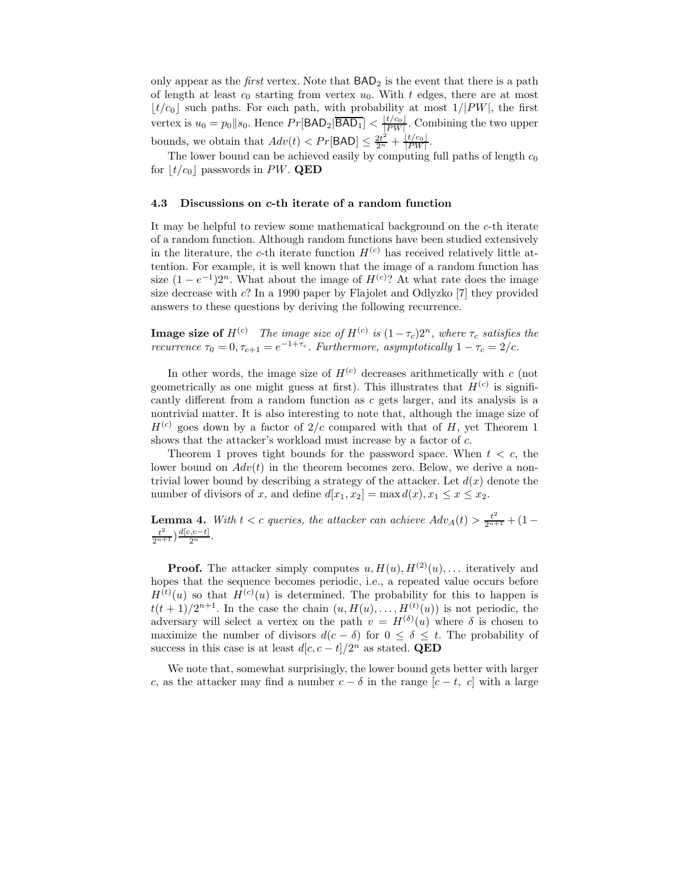only appear as the *first* vertex. Note that  $BAD_2$  is the event that there is a path of length at least  $c_0$  starting from vertex  $u_0$ . With t edges, there are at most  $\lfloor t/c_0 \rfloor$  such paths. For each path, with probability at most  $1/|PW|$ , the first vertex is  $u_0 = p_0 || s_0$ . Hence  $Pr[\mathsf{BAD}_2 | \overline{\mathsf{BAD}}_1] < \frac{|t/c_0|}{|PW|}$ . Combining the two upper bounds, we obtain that  $Adv(t) < Pr[BAD] \leq \frac{2t^2}{2^n} + \frac{\lfloor t/c_0 \rfloor}{|PW|}.$ 

The lower bound can be achieved easily by computing full paths of length  $c_0$ for  $\lfloor t/c_0 \rfloor$  passwords in PW. **QED** 

#### **4.3 Discussions on** *c***-th iterate of a random function**

It may be helpful to review some mathematical background on the c-th iterate of a random function. Although random functions have been studied extensively in the literature, the c-th iterate function  $H^{(c)}$  has received relatively little attention. For example, it is well known that the image of a random function has size  $(1-e^{-1})2^n$ . What about the image of  $H^{(c)}$ ? At what rate does the image size decrease with c? In a 1990 paper by Flajolet and Odlyzko [7] they provided answers to these questions by deriving the following recurrence.

**Image size of**  $H^{(c)}$  *The image size of*  $H^{(c)}$  *is*  $(1 - \tau_c)2^n$ *, where*  $\tau_c$  *satisfies the recurrence*  $\tau_0 = 0, \tau_{c+1} = e^{-1+\tau_c}$ *. Furthermore, asymptotically*  $1 - \tau_c = 2/c$ *.* 

In other words, the image size of  $H^{(c)}$  decreases arithmetically with c (not geometrically as one might guess at first). This illustrates that  $H^{(c)}$  is significantly different from a random function as c gets larger, and its analysis is a nontrivial matter. It is also interesting to note that, although the image size of  $H^{(c)}$  goes down by a factor of  $2/c$  compared with that of H, yet Theorem 1 shows that the attacker's workload must increase by a factor of c.

Theorem 1 proves tight bounds for the password space. When  $t < c$ , the lower bound on  $Adv(t)$  in the theorem becomes zero. Below, we derive a nontrivial lower bound by describing a strategy of the attacker. Let  $d(x)$  denote the number of divisors of x, and define  $d[x_1, x_2] = \max d(x), x_1 \le x \le x_2$ .

**Lemma 4.** *With*  $t < c$  *queries, the attacker can achieve*  $Adv_A(t) > \frac{t^2}{2^{n+1}} + (1 \frac{t^2}{2^{n+1}}$  $\frac{d[c,c-t]}{2^n}$ .

**Proof.** The attacker simply computes  $u, H(u), H^{(2)}(u), \ldots$  iteratively and hopes that the sequence becomes periodic, i.e., a repeated value occurs before  $H^{(t)}(u)$  so that  $H^{(c)}(u)$  is determined. The probability for this to happen is  $t(t+1)/2^{n+1}$ . In the case the chain  $(u, H(u), \ldots, H^{(t)}(u))$  is not periodic, the adversary will select a vertex on the path  $v = H^{(\delta)}(u)$  where  $\delta$  is chosen to maximize the number of divisors  $d(c - \delta)$  for  $0 \leq \delta \leq t$ . The probability of success in this case is at least  $d[c, c - t]/2^n$  as stated. **QED** 

We note that, somewhat surprisingly, the lower bound gets better with larger c, as the attacker may find a number  $c - \delta$  in the range  $[c - t, c]$  with a large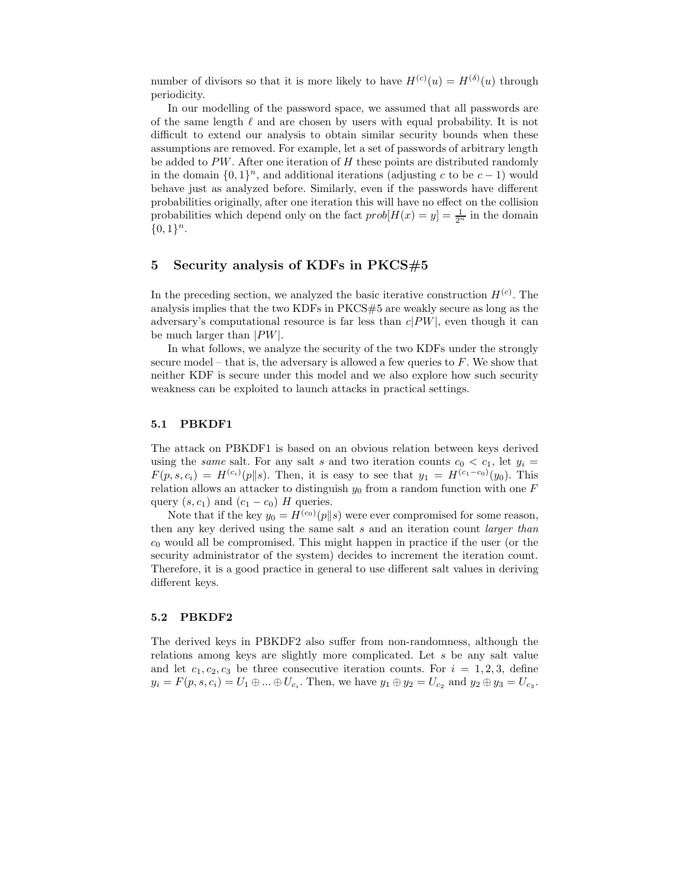number of divisors so that it is more likely to have  $H^{(c)}(u) = H^{(\delta)}(u)$  through periodicity.

In our modelling of the password space, we assumed that all passwords are of the same length  $\ell$  and are chosen by users with equal probability. It is not difficult to extend our analysis to obtain similar security bounds when these assumptions are removed. For example, let a set of passwords of arbitrary length be added to  $PW$ . After one iteration of H these points are distributed randomly in the domain  $\{0,1\}^n$ , and additional iterations (adjusting c to be  $c-1$ ) would behave just as analyzed before. Similarly, even if the passwords have different probabilities originally, after one iteration this will have no effect on the collision probabilities which depend only on the fact  $prob[H(x) = y] = \frac{1}{2^n}$  in the domain  $\{0,1\}^n$ .

### **5 Security analysis of KDFs in PKCS#5**

In the preceding section, we analyzed the basic iterative construction  $H^{(c)}$ . The analysis implies that the two KDFs in PKCS#5 are weakly secure as long as the adversary's computational resource is far less than  $c|PW|$ , even though it can be much larger than |PW|.

In what follows, we analyze the security of the two KDFs under the strongly secure model – that is, the adversary is allowed a few queries to  $F$ . We show that neither KDF is secure under this model and we also explore how such security weakness can be exploited to launch attacks in practical settings.

#### **5.1 PBKDF1**

The attack on PBKDF1 is based on an obvious relation between keys derived using the *same* salt. For any salt s and two iteration counts  $c_0 < c_1$ , let  $y_i =$  $F(p, s, c_i) = H^{(c_i)}(p||s)$ . Then, it is easy to see that  $y_1 = H^{(c_1-c_0)}(y_0)$ . This relation allows an attacker to distinguish  $y_0$  from a random function with one F query  $(s, c_1)$  and  $(c_1 - c_0)$  H queries.

Note that if the key  $y_0 = H^{(c_0)}(p||s)$  were ever compromised for some reason, then any key derived using the same salt s and an iteration count *larger than*  $c_0$  would all be compromised. This might happen in practice if the user (or the security administrator of the system) decides to increment the iteration count. Therefore, it is a good practice in general to use different salt values in deriving different keys.

#### **5.2 PBKDF2**

The derived keys in PBKDF2 also suffer from non-randomness, although the relations among keys are slightly more complicated. Let s be any salt value and let  $c_1, c_2, c_3$  be three consecutive iteration counts. For  $i = 1, 2, 3$ , define  $y_i = F(p, s, c_i) = U_1 \oplus ... \oplus U_{c_i}$ . Then, we have  $y_1 \oplus y_2 = U_{c_2}$  and  $y_2 \oplus y_3 = U_{c_3}$ .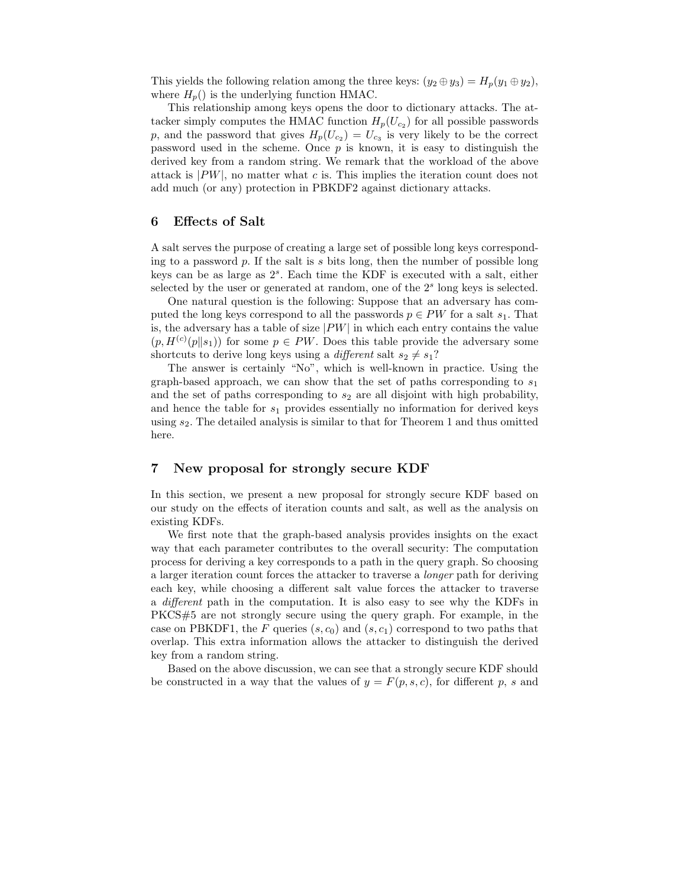This yields the following relation among the three keys:  $(y_2 \oplus y_3) = H_p(y_1 \oplus y_2)$ , where  $H_p()$  is the underlying function HMAC.

This relationship among keys opens the door to dictionary attacks. The attacker simply computes the HMAC function  $H_p(U_{c_2})$  for all possible passwords p, and the password that gives  $H_p(U_{c_2}) = U_{c_3}$  is very likely to be the correct password used in the scheme. Once  $p$  is known, it is easy to distinguish the derived key from a random string. We remark that the workload of the above attack is  $|PW|$ , no matter what c is. This implies the iteration count does not add much (or any) protection in PBKDF2 against dictionary attacks.

### **6 Effects of Salt**

A salt serves the purpose of creating a large set of possible long keys corresponding to a password p. If the salt is s bits long, then the number of possible long keys can be as large as  $2<sup>s</sup>$ . Each time the KDF is executed with a salt, either selected by the user or generated at random, one of the  $2<sup>s</sup>$  long keys is selected.

One natural question is the following: Suppose that an adversary has computed the long keys correspond to all the passwords  $p \in PW$  for a salt  $s_1$ . That is, the adversary has a table of size  $|PW|$  in which each entry contains the value  $(p, H^{(c)}(p||s_1))$  for some  $p \in PW$ . Does this table provide the adversary some shortcuts to derive long keys using a *different* salt  $s_2 \neq s_1$ ?

The answer is certainly "No", which is well-known in practice. Using the graph-based approach, we can show that the set of paths corresponding to  $s_1$ and the set of paths corresponding to  $s_2$  are all disjoint with high probability, and hence the table for  $s_1$  provides essentially no information for derived keys using  $s<sub>2</sub>$ . The detailed analysis is similar to that for Theorem 1 and thus omitted here.

### **7 New proposal for strongly secure KDF**

In this section, we present a new proposal for strongly secure KDF based on our study on the effects of iteration counts and salt, as well as the analysis on existing KDFs.

We first note that the graph-based analysis provides insights on the exact way that each parameter contributes to the overall security: The computation process for deriving a key corresponds to a path in the query graph. So choosing a larger iteration count forces the attacker to traverse a *longer* path for deriving each key, while choosing a different salt value forces the attacker to traverse a *different* path in the computation. It is also easy to see why the KDFs in PKCS#5 are not strongly secure using the query graph. For example, in the case on PBKDF1, the F queries  $(s, c_0)$  and  $(s, c_1)$  correspond to two paths that overlap. This extra information allows the attacker to distinguish the derived key from a random string.

Based on the above discussion, we can see that a strongly secure KDF should be constructed in a way that the values of  $y = F(p, s, c)$ , for different p, s and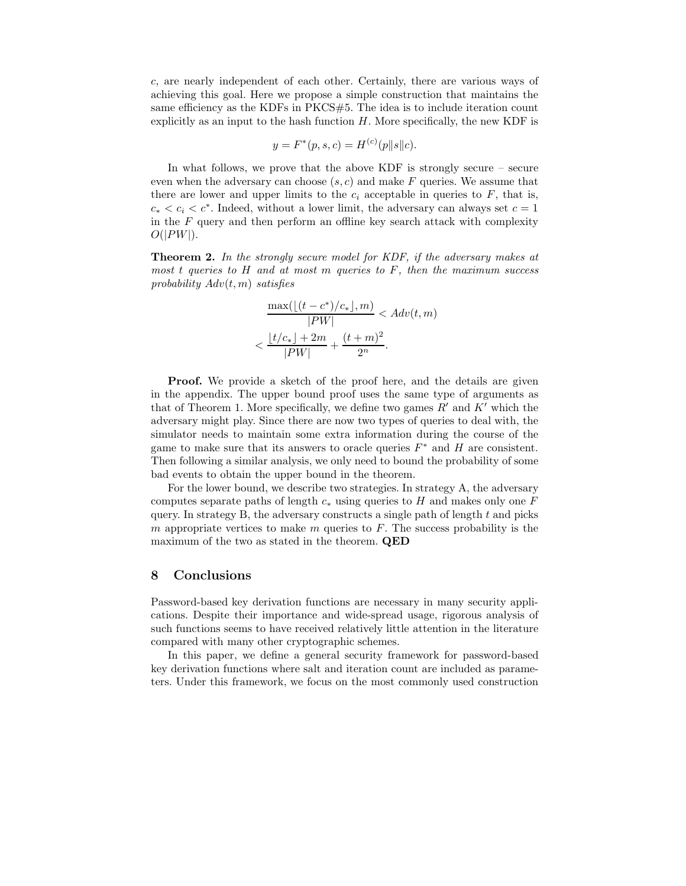c, are nearly independent of each other. Certainly, there are various ways of achieving this goal. Here we propose a simple construction that maintains the same efficiency as the KDFs in PKCS#5. The idea is to include iteration count explicitly as an input to the hash function  $H$ . More specifically, the new KDF is

$$
y = F^*(p, s, c) = H^{(c)}(p||s||c).
$$

In what follows, we prove that the above KDF is strongly secure – secure even when the adversary can choose  $(s, c)$  and make  $F$  queries. We assume that there are lower and upper limits to the  $c_i$  acceptable in queries to  $F$ , that is,  $c_* < c_i < c^*$ . Indeed, without a lower limit, the adversary can always set  $c = 1$ in the  $F$  query and then perform an offline key search attack with complexity  $O(|PW|)$ .

**Theorem 2.** *In the strongly secure model for KDF, if the adversary makes at most* t *queries to* H *and at most* m *queries to* F*, then the maximum success probability* Adv(t, m) *satisfies*

$$
\frac{\max(\lfloor (t-c^*)/c_*\rfloor, m)}{|PW|} < Adv(t, m) \\
< \frac{\lfloor t/c_*\rfloor + 2m}{|PW|} + \frac{(t+m)^2}{2^n}.
$$

**Proof.** We provide a sketch of the proof here, and the details are given in the appendix. The upper bound proof uses the same type of arguments as that of Theorem 1. More specifically, we define two games  $R'$  and  $K'$  which the adversary might play. Since there are now two types of queries to deal with, the simulator needs to maintain some extra information during the course of the game to make sure that its answers to oracle queries  $F^*$  and H are consistent. Then following a similar analysis, we only need to bound the probability of some bad events to obtain the upper bound in the theorem.

For the lower bound, we describe two strategies. In strategy A, the adversary computes separate paths of length  $c_*$  using queries to H and makes only one F query. In strategy  $B$ , the adversary constructs a single path of length  $t$  and picks m appropriate vertices to make m queries to  $F$ . The success probability is the maximum of the two as stated in the theorem. **QED**

### **8 Conclusions**

Password-based key derivation functions are necessary in many security applications. Despite their importance and wide-spread usage, rigorous analysis of such functions seems to have received relatively little attention in the literature compared with many other cryptographic schemes.

In this paper, we define a general security framework for password-based key derivation functions where salt and iteration count are included as parameters. Under this framework, we focus on the most commonly used construction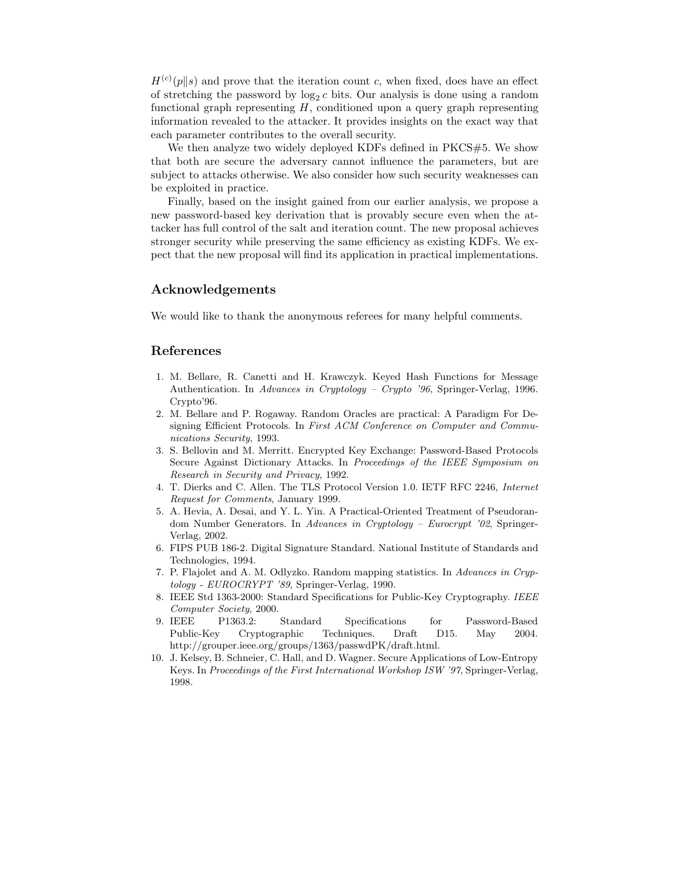$H^{(c)}(p||s)$  and prove that the iteration count c, when fixed, does have an effect of stretching the password by  $\log_2 c$  bits. Our analysis is done using a random functional graph representing  $H$ , conditioned upon a query graph representing information revealed to the attacker. It provides insights on the exact way that each parameter contributes to the overall security.

We then analyze two widely deployed KDFs defined in PKCS#5. We show that both are secure the adversary cannot influence the parameters, but are subject to attacks otherwise. We also consider how such security weaknesses can be exploited in practice.

Finally, based on the insight gained from our earlier analysis, we propose a new password-based key derivation that is provably secure even when the attacker has full control of the salt and iteration count. The new proposal achieves stronger security while preserving the same efficiency as existing KDFs. We expect that the new proposal will find its application in practical implementations.

### **Acknowledgements**

We would like to thank the anonymous referees for many helpful comments.

### **References**

- 1. M. Bellare, R. Canetti and H. Krawczyk. Keyed Hash Functions for Message Authentication. In *Advances in Cryptology – Crypto '96*, Springer-Verlag, 1996. Crypto'96.
- 2. M. Bellare and P. Rogaway. Random Oracles are practical: A Paradigm For Designing Efficient Protocols. In *First ACM Conference on Computer and Communications Security*, 1993.
- 3. S. Bellovin and M. Merritt. Encrypted Key Exchange: Password-Based Protocols Secure Against Dictionary Attacks. In *Proceedings of the IEEE Symposium on Research in Security and Privacy*, 1992.
- 4. T. Dierks and C. Allen. The TLS Protocol Version 1.0. IETF RFC 2246, *Internet Request for Comments*, January 1999.
- 5. A. Hevia, A. Desai, and Y. L. Yin. A Practical-Oriented Treatment of Pseudorandom Number Generators. In *Advances in Cryptology – Eurocrypt '02*, Springer-Verlag, 2002.
- 6. FIPS PUB 186-2. Digital Signature Standard. National Institute of Standards and Technologies, 1994.
- 7. P. Flajolet and A. M. Odlyzko. Random mapping statistics. In *Advances in Cryptology - EUROCRYPT '89*, Springer-Verlag, 1990.
- 8. IEEE Std 1363-2000: Standard Specifications for Public-Key Cryptography. *IEEE Computer Society*, 2000.
- 9. IEEE P1363.2: Standard Specifications for Password-Based Public-Key Cryptographic Techniques. Draft D15. May 2004. http://grouper.ieee.org/groups/1363/passwdPK/draft.html.
- 10. J. Kelsey, B. Schneier, C. Hall, and D. Wagner. Secure Applications of Low-Entropy Keys. In *Proceedings of the First International Workshop ISW '97*, Springer-Verlag, 1998.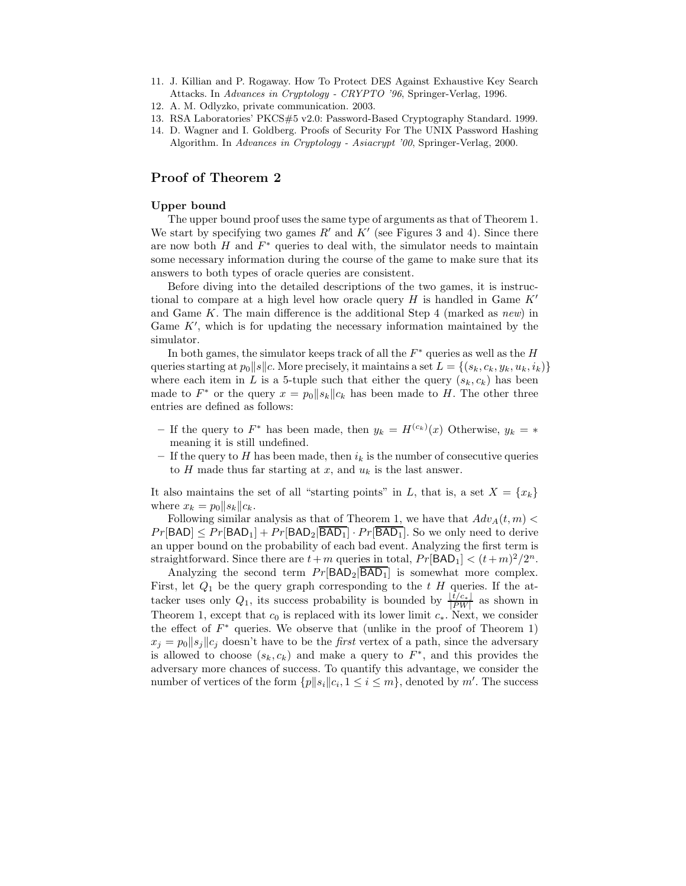- 11. J. Killian and P. Rogaway. How To Protect DES Against Exhaustive Key Search Attacks. In *Advances in Cryptology - CRYPTO '96*, Springer-Verlag, 1996.
- 12. A. M. Odlyzko, private communication. 2003.
- 13. RSA Laboratories' PKCS#5 v2.0: Password-Based Cryptography Standard. 1999.
- 14. D. Wagner and I. Goldberg. Proofs of Security For The UNIX Password Hashing Algorithm. In *Advances in Cryptology - Asiacrypt '00*, Springer-Verlag, 2000.

# **Proof of Theorem 2**

#### **Upper bound**

The upper bound proof uses the same type of arguments as that of Theorem 1. We start by specifying two games  $R'$  and  $K'$  (see Figures 3 and 4). Since there are now both  $H$  and  $F^*$  queries to deal with, the simulator needs to maintain some necessary information during the course of the game to make sure that its answers to both types of oracle queries are consistent.

Before diving into the detailed descriptions of the two games, it is instructional to compare at a high level how oracle query  $H$  is handled in Game  $K'$ and Game K. The main difference is the additional Step 4 (marked as *new*) in Game  $K'$ , which is for updating the necessary information maintained by the simulator.

In both games, the simulator keeps track of all the  $F^*$  queries as well as the H queries starting at  $p_0||s||c$ . More precisely, it maintains a set  $L = \{(s_k, c_k, y_k, u_k, i_k)\}\$ where each item in L is a 5-tuple such that either the query  $(s_k, c_k)$  has been made to  $F^*$  or the query  $x = p_0 ||s_k|| c_k$  has been made to H. The other three entries are defined as follows:

- **−** If the query to  $F^*$  has been made, then  $y_k = H^{(c_k)}(x)$  Otherwise,  $y_k = *$ meaning it is still undefined.
- If the query to H has been made, then  $i_k$  is the number of consecutive queries to  $H$  made thus far starting at  $x$ , and  $u_k$  is the last answer.

It also maintains the set of all "starting points" in L, that is, a set  $X = \{x_k\}$ where  $x_k = p_0 ||s_k||c_k$ .

Following similar analysis as that of Theorem 1, we have that  $Adv_A(t, m)$  $Pr[\mathsf{BAD}] \leq Pr[\mathsf{BAD}_1] + Pr[\mathsf{BAD}_2[\overline{\mathsf{BAD}}_1] \cdot Pr[\overline{\mathsf{BAD}}_1]$ . So we only need to derive an upper bound on the probability of each bad event. Analyzing the first term is straightforward. Since there are  $t+m$  queries in total,  $Pr[BAD_1] < (t+m)^2/2^n$ .

Analyzing the second term  $Pr[BAD_2|BAD_1]$  is somewhat more complex. First, let  $Q_1$  be the query graph corresponding to the  $t$  H queries. If the attacker uses only  $Q_1$ , its success probability is bounded by  $\frac{|\hat{t}/c_*|}{|PW|}$  as shown in Theorem 1, except that  $c_0$  is replaced with its lower limit  $c_*$ . Next, we consider the effect of  $F^*$  queries. We observe that (unlike in the proof of Theorem 1)  $x_i = p_0 ||s_i|| c_i$  doesn't have to be the *first* vertex of a path, since the adversary is allowed to choose  $(s_k, c_k)$  and make a query to  $F^*$ , and this provides the adversary more chances of success. To quantify this advantage, we consider the number of vertices of the form  $\{p||s_i||c_i, 1 \leq i \leq m\}$ , denoted by m'. The success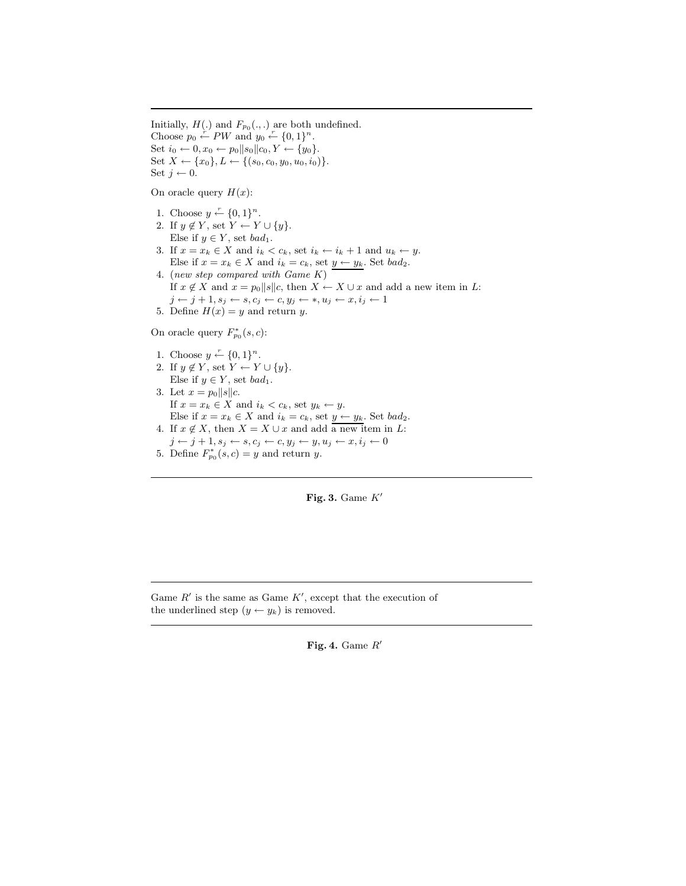Initially,  $H(.)$  and  $F_{p_0}(.,.)$  are both undefined. Choose  $p_0 \stackrel{r}{\leftarrow} PW$  and  $y_0 \stackrel{r}{\leftarrow} \{0,1\}^n$ . Set  $i_0 \leftarrow 0, x_0 \leftarrow p_0 || s_0 || c_0, Y \leftarrow \{y_0\}.$ Set  $X \leftarrow \{x_0\}, L \leftarrow \{(s_0, c_0, y_0, u_0, i_0)\}.$ Set  $j \leftarrow 0$ .

On oracle query  $H(x)$ :

- 1. Choose  $y \stackrel{r}{\leftarrow} \{0,1\}^n$ . 2. If  $y \notin Y$ , set  $Y \leftarrow Y \cup \{y\}$ . Else if  $y \in Y$ , set *bad*<sub>1</sub>.
- 3. If  $x = x_k \in X$  and  $i_k < c_k$ , set  $i_k \leftarrow i_k + 1$  and  $u_k \leftarrow y$ . Else if  $x = x_k \in X$  and  $i_k = c_k$ , set  $y \leftarrow y_k$ . Set *bad*<sub>2</sub>. 4. (*new step compared with Game K*)
- If  $x \notin X$  and  $x = p_0 ||s||c$ , then  $X \leftarrow X \cup x$  and add a new item in *L*:  $j \leftarrow j+1, s_j \leftarrow s, c_j \leftarrow c, y_j \leftarrow *, u_j \leftarrow x, i_j \leftarrow 1$
- 5. Define  $H(x) = y$  and return *y*.

On oracle query  $F_{p_0}^*(s, c)$ :

- 1. Choose  $y \stackrel{r}{\leftarrow} \{0,1\}^n$ . 2. If  $y \notin Y$ , set  $Y \leftarrow Y \cup \{y\}$ .
- Else if  $y \in Y$ , set *bad*<sub>1</sub>. 3. Let  $x = p_0 ||s||c$ .
- If  $x = x_k \in X$  and  $i_k < c_k$ , set  $y_k \leftarrow y$ . Else if  $x = x_k \in X$  and  $i_k = c_k$ , set  $y \leftarrow y_k$ . Set *bad*<sub>2</sub>. 4. If  $x \notin X$ , then  $X = X \cup x$  and add a new item in L:  $j \leftarrow j+1, s_j \leftarrow s, c_j \leftarrow c, y_j \leftarrow y, u_j \leftarrow x, i_j \leftarrow 0$
- 5. Define  $F_{p_0}^*(s, c) = y$  and return *y*.

**Fig. 3.** Game *<sup>K</sup>*-

Game  $R'$  is the same as Game  $K'$ , except that the execution of the underlined step  $(y \leftarrow y_k)$  is removed.

**Fig. 4.** Game *<sup>R</sup>*-